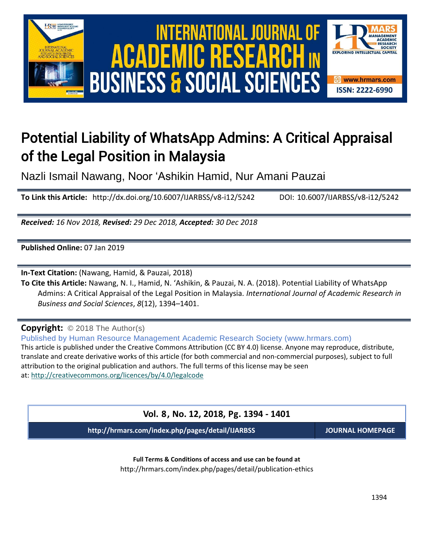

# Potential Liability of WhatsApp Admins: A Critical Appraisal of the Legal Position in Malaysia

Nazli Ismail Nawang, Noor 'Ashikin Hamid, Nur Amani Pauzai

**To Link this Article:** http://dx.doi.org/10.6007/IJARBSS/v8-i12/5242 DOI: 10.6007/IJARBSS/v8-i12/5242

*Received: 16 Nov 2018, Revised: 29 Dec 2018, Accepted: 30 Dec 2018*

**Published Online:** 07 Jan 2019

**In-Text Citation:** (Nawang, Hamid, & Pauzai, 2018)

**To Cite this Article:** Nawang, N. I., Hamid, N. 'Ashikin, & Pauzai, N. A. (2018). Potential Liability of WhatsApp Admins: A Critical Appraisal of the Legal Position in Malaysia. *International Journal of Academic Research in Business and Social Sciences*, *8*(12), 1394–1401.

**Copyright:** © 2018 The Author(s)

Published by Human Resource Management Academic Research Society (www.hrmars.com) This article is published under the Creative Commons Attribution (CC BY 4.0) license. Anyone may reproduce, distribute, translate and create derivative works of this article (for both commercial and non-commercial purposes), subject to full attribution to the original publication and authors. The full terms of this license may be seen at: <http://creativecommons.org/licences/by/4.0/legalcode>

**Vol. 8, No. 12, 2018, Pg. 1394 - 1401**

**http://hrmars.com/index.php/pages/detail/IJARBSS JOURNAL HOMEPAGE**

**Full Terms & Conditions of access and use can be found at** http://hrmars.com/index.php/pages/detail/publication-ethics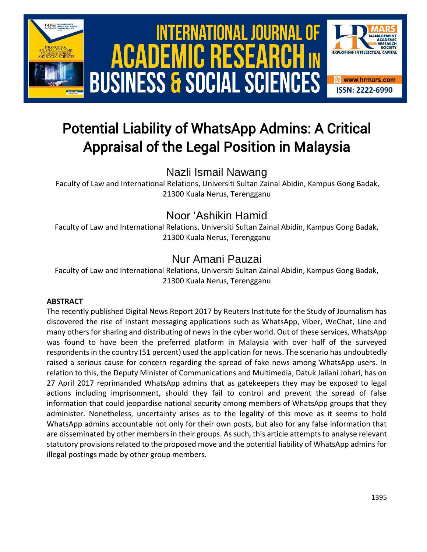

# Potential Liability of WhatsApp Admins: A Critical Appraisal of the Legal Position in Malaysia

Nazli Ismail Nawang

Faculty of Law and International Relations, Universiti Sultan Zainal Abidin, Kampus Gong Badak, 21300 Kuala Nerus, Terengganu

## Noor 'Ashikin Hamid

Faculty of Law and International Relations, Universiti Sultan Zainal Abidin, Kampus Gong Badak, 21300 Kuala Nerus, Terengganu

## Nur Amani Pauzai

Faculty of Law and International Relations, Universiti Sultan Zainal Abidin, Kampus Gong Badak, 21300 Kuala Nerus, Terengganu

### **ABSTRACT**

The recently published Digital News Report 2017 by Reuters Institute for the Study of Journalism has discovered the rise of instant messaging applications such as WhatsApp, Viber, WeChat, Line and many others for sharing and distributing of news in the cyber world. Out of these services, WhatsApp was found to have been the preferred platform in Malaysia with over half of the surveyed respondents in the country (51 percent) used the application for news. The scenario has undoubtedly raised a serious cause for concern regarding the spread of fake news among WhatsApp users. In relation to this, the Deputy Minister of Communications and Multimedia, Datuk Jailani Johari, has on 27 April 2017 reprimanded WhatsApp admins that as gatekeepers they may be exposed to legal actions including imprisonment, should they fail to control and prevent the spread of false information that could jeopardise national security among members of WhatsApp groups that they administer. Nonetheless, uncertainty arises as to the legality of this move as it seems to hold WhatsApp admins accountable not only for their own posts, but also for any false information that are disseminated by other members in their groups. As such, this article attempts to analyse relevant statutory provisions related to the proposed move and the potential liability of WhatsApp admins for illegal postings made by other group members.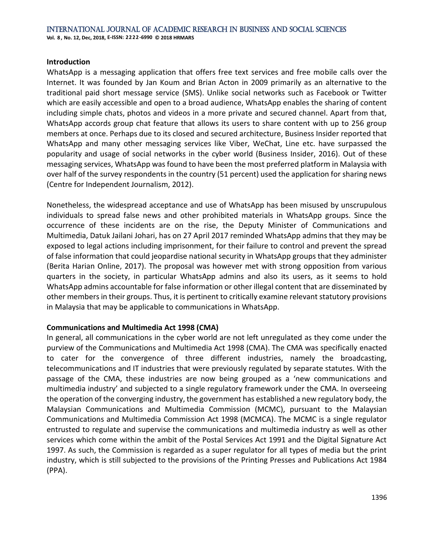### **Introduction**

WhatsApp is a messaging application that offers free text services and free mobile calls over the Internet. It was founded by Jan Koum and Brian Acton in 2009 primarily as an alternative to the traditional paid short message service (SMS). Unlike social networks such as Facebook or Twitter which are easily accessible and open to a broad audience, WhatsApp enables the sharing of content including simple chats, photos and videos in a more private and secured channel. Apart from that, WhatsApp accords group chat feature that allows its users to share content with up to 256 group members at once. Perhaps due to its closed and secured architecture, Business Insider reported that WhatsApp and many other messaging services like Viber, WeChat, Line etc. have surpassed the popularity and usage of social networks in the cyber world (Business Insider, 2016). Out of these messaging services, WhatsApp was found to have been the most preferred platform in Malaysia with over half of the survey respondents in the country (51 percent) used the application for sharing news (Centre for Independent Journalism, 2012).

Nonetheless, the widespread acceptance and use of WhatsApp has been misused by unscrupulous individuals to spread false news and other prohibited materials in WhatsApp groups. Since the occurrence of these incidents are on the rise, the Deputy Minister of Communications and Multimedia, Datuk Jailani Johari, has on 27 April 2017 reminded WhatsApp admins that they may be exposed to legal actions including imprisonment, for their failure to control and prevent the spread of false information that could jeopardise national security in WhatsApp groups that they administer (Berita Harian Online, 2017). The proposal was however met with strong opposition from various quarters in the society, in particular WhatsApp admins and also its users, as it seems to hold WhatsApp admins accountable for false information or other illegal content that are disseminated by other members in their groups. Thus, it is pertinent to critically examine relevant statutory provisions in Malaysia that may be applicable to communications in WhatsApp.

### **Communications and Multimedia Act 1998 (CMA)**

In general, all communications in the cyber world are not left unregulated as they come under the purview of the Communications and Multimedia Act 1998 (CMA). The CMA was specifically enacted to cater for the convergence of three different industries, namely the broadcasting, telecommunications and IT industries that were previously regulated by separate statutes. With the passage of the CMA, these industries are now being grouped as a 'new communications and multimedia industry' and subjected to a single regulatory framework under the CMA. In overseeing the operation of the converging industry, the government has established a new regulatory body, the Malaysian Communications and Multimedia Commission (MCMC), pursuant to the Malaysian Communications and Multimedia Commission Act 1998 (MCMCA). The MCMC is a single regulator entrusted to regulate and supervise the communications and multimedia industry as well as other services which come within the ambit of the Postal Services Act 1991 and the Digital Signature Act 1997. As such, the Commission is regarded as a super regulator for all types of media but the print industry, which is still subjected to the provisions of the Printing Presses and Publications Act 1984 (PPA).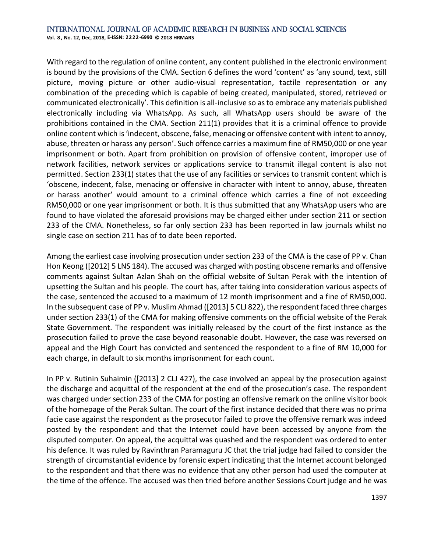### International Journal of Academic Research in Business and Social Sciences

**Vol. 8 , No. 12, Dec, 2018, E-ISSN: 2222-6990 © 2018 HRMARS**

With regard to the regulation of online content, any content published in the electronic environment is bound by the provisions of the CMA. Section 6 defines the word 'content' as 'any sound, text, still picture, moving picture or other audio-visual representation, tactile representation or any combination of the preceding which is capable of being created, manipulated, stored, retrieved or communicated electronically'. This definition is all-inclusive so as to embrace any materials published electronically including via WhatsApp. As such, all WhatsApp users should be aware of the prohibitions contained in the CMA. Section 211(1) provides that it is a criminal offence to provide online content which is 'indecent, obscene, false, menacing or offensive content with intent to annoy, abuse, threaten or harass any person'. Such offence carries a maximum fine of RM50,000 or one year imprisonment or both. Apart from prohibition on provision of offensive content, improper use of network facilities, network services or applications service to transmit illegal content is also not permitted. Section 233(1) states that the use of any facilities or services to transmit content which is 'obscene, indecent, false, menacing or offensive in character with intent to annoy, abuse, threaten or harass another' would amount to a criminal offence which carries a fine of not exceeding RM50,000 or one year imprisonment or both. It is thus submitted that any WhatsApp users who are found to have violated the aforesaid provisions may be charged either under section 211 or section 233 of the CMA. Nonetheless, so far only section 233 has been reported in law journals whilst no single case on section 211 has of to date been reported.

Among the earliest case involving prosecution under section 233 of the CMA is the case of PP v. Chan Hon Keong ([2012] 5 LNS 184). The accused was charged with posting obscene remarks and offensive comments against Sultan Azlan Shah on the official website of Sultan Perak with the intention of upsetting the Sultan and his people. The court has, after taking into consideration various aspects of the case, sentenced the accused to a maximum of 12 month imprisonment and a fine of RM50,000. In the subsequent case of PP v. Muslim Ahmad ([2013] 5 CLJ 822), the respondent faced three charges under section 233(1) of the CMA for making offensive comments on the official website of the Perak State Government. The respondent was initially released by the court of the first instance as the prosecution failed to prove the case beyond reasonable doubt. However, the case was reversed on appeal and the High Court has convicted and sentenced the respondent to a fine of RM 10,000 for each charge, in default to six months imprisonment for each count.

In PP v. Rutinin Suhaimin ([2013] 2 CLJ 427), the case involved an appeal by the prosecution against the discharge and acquittal of the respondent at the end of the prosecution's case. The respondent was charged under section 233 of the CMA for posting an offensive remark on the online visitor book of the homepage of the Perak Sultan. The court of the first instance decided that there was no prima facie case against the respondent as the prosecutor failed to prove the offensive remark was indeed posted by the respondent and that the Internet could have been accessed by anyone from the disputed computer. On appeal, the acquittal was quashed and the respondent was ordered to enter his defence. It was ruled by Ravinthran Paramaguru JC that the trial judge had failed to consider the strength of circumstantial evidence by forensic expert indicating that the Internet account belonged to the respondent and that there was no evidence that any other person had used the computer at the time of the offence. The accused was then tried before another Sessions Court judge and he was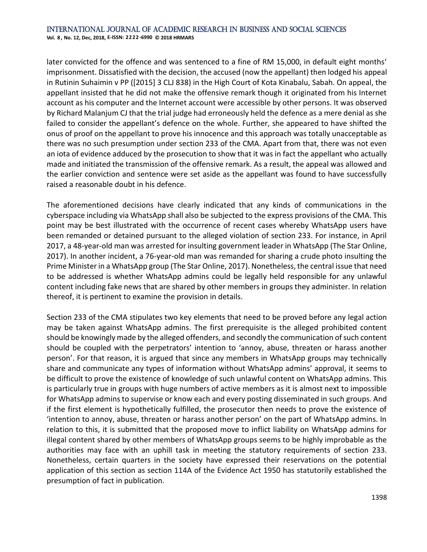later convicted for the offence and was sentenced to a fine of RM 15,000, in default eight months' imprisonment. Dissatisfied with the decision, the accused (now the appellant) then lodged his appeal in Rutinin Suhaimin v PP ([2015] 3 CLJ 838) in the High Court of Kota Kinabalu, Sabah. On appeal, the appellant insisted that he did not make the offensive remark though it originated from his Internet account as his computer and the Internet account were accessible by other persons. It was observed by Richard Malanjum CJ that the trial judge had erroneously held the defence as a mere denial as she failed to consider the appellant's defence on the whole. Further, she appeared to have shifted the onus of proof on the appellant to prove his innocence and this approach was totally unacceptable as there was no such presumption under section 233 of the CMA. Apart from that, there was not even an iota of evidence adduced by the prosecution to show that it was in fact the appellant who actually made and initiated the transmission of the offensive remark. As a result, the appeal was allowed and the earlier conviction and sentence were set aside as the appellant was found to have successfully raised a reasonable doubt in his defence.

The aforementioned decisions have clearly indicated that any kinds of communications in the cyberspace including via WhatsApp shall also be subjected to the express provisions of the CMA. This point may be best illustrated with the occurrence of recent cases whereby WhatsApp users have been remanded or detained pursuant to the alleged violation of section 233. For instance, in April 2017, a 48-year-old man was arrested for insulting government leader in WhatsApp (The Star Online, 2017). In another incident, a 76-year-old man was remanded for sharing a crude photo insulting the Prime Minister in a WhatsApp group (The Star Online, 2017). Nonetheless, the central issue that need to be addressed is whether WhatsApp admins could be legally held responsible for any unlawful content including fake news that are shared by other members in groups they administer. In relation thereof, it is pertinent to examine the provision in details.

Section 233 of the CMA stipulates two key elements that need to be proved before any legal action may be taken against WhatsApp admins. The first prerequisite is the alleged prohibited content should be knowingly made by the alleged offenders, and secondly the communication of such content should be coupled with the perpetrators' intention to 'annoy, abuse, threaten or harass another person'. For that reason, it is argued that since any members in WhatsApp groups may technically share and communicate any types of information without WhatsApp admins' approval, it seems to be difficult to prove the existence of knowledge of such unlawful content on WhatsApp admins. This is particularly true in groups with huge numbers of active members as it is almost next to impossible for WhatsApp admins to supervise or know each and every posting disseminated in such groups. And if the first element is hypothetically fulfilled, the prosecutor then needs to prove the existence of 'intention to annoy, abuse, threaten or harass another person' on the part of WhatsApp admins. In relation to this, it is submitted that the proposed move to inflict liability on WhatsApp admins for illegal content shared by other members of WhatsApp groups seems to be highly improbable as the authorities may face with an uphill task in meeting the statutory requirements of section 233. Nonetheless, certain quarters in the society have expressed their reservations on the potential application of this section as section 114A of the Evidence Act 1950 has statutorily established the presumption of fact in publication.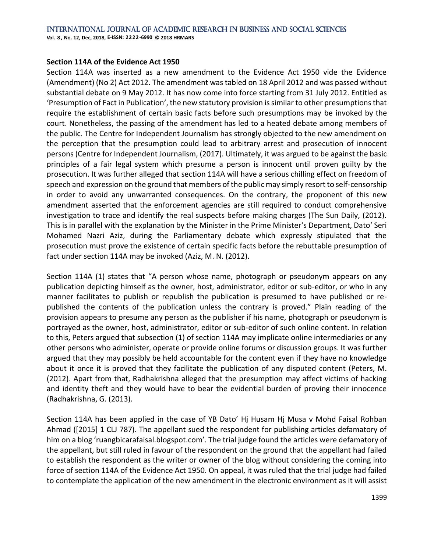### International Journal of Academic Research in Business and Social Sciences

**Vol. 8 , No. 12, Dec, 2018, E-ISSN: 2222-6990 © 2018 HRMARS**

### **Section 114A of the Evidence Act 1950**

Section 114A was inserted as a new amendment to the Evidence Act 1950 vide the Evidence (Amendment) (No 2) Act 2012. The amendment was tabled on 18 April 2012 and was passed without substantial debate on 9 May 2012. It has now come into force starting from 31 July 2012. Entitled as 'Presumption of Fact in Publication', the new statutory provision is similar to other presumptions that require the establishment of certain basic facts before such presumptions may be invoked by the court. Nonetheless, the passing of the amendment has led to a heated debate among members of the public. The Centre for Independent Journalism has strongly objected to the new amendment on the perception that the presumption could lead to arbitrary arrest and prosecution of innocent persons (Centre for Independent Journalism, (2017). Ultimately, it was argued to be against the basic principles of a fair legal system which presume a person is innocent until proven guilty by the prosecution. It was further alleged that section 114A will have a serious chilling effect on freedom of speech and expression on the ground that members of the public may simply resort to self-censorship in order to avoid any unwarranted consequences. On the contrary, the proponent of this new amendment asserted that the enforcement agencies are still required to conduct comprehensive investigation to trace and identify the real suspects before making charges (The Sun Daily, (2012). This is in parallel with the explanation by the Minister in the Prime Minister's Department, Dato' Seri Mohamed Nazri Aziz, during the Parliamentary debate which expressly stipulated that the prosecution must prove the existence of certain specific facts before the rebuttable presumption of fact under section 114A may be invoked (Aziz, M. N. (2012).

Section 114A (1) states that "A person whose name, photograph or pseudonym appears on any publication depicting himself as the owner, host, administrator, editor or sub-editor, or who in any manner facilitates to publish or republish the publication is presumed to have published or republished the contents of the publication unless the contrary is proved." Plain reading of the provision appears to presume any person as the publisher if his name, photograph or pseudonym is portrayed as the owner, host, administrator, editor or sub-editor of such online content. In relation to this, Peters argued that subsection (1) of section 114A may implicate online intermediaries or any other persons who administer, operate or provide online forums or discussion groups. It was further argued that they may possibly be held accountable for the content even if they have no knowledge about it once it is proved that they facilitate the publication of any disputed content (Peters, M. (2012). Apart from that, Radhakrishna alleged that the presumption may affect victims of hacking and identity theft and they would have to bear the evidential burden of proving their innocence (Radhakrishna, G. (2013).

Section 114A has been applied in the case of YB Dato' Hj Husam Hj Musa v Mohd Faisal Rohban Ahmad ([2015] 1 CLJ 787). The appellant sued the respondent for publishing articles defamatory of him on a blog 'ruangbicarafaisal.blogspot.com'. The trial judge found the articles were defamatory of the appellant, but still ruled in favour of the respondent on the ground that the appellant had failed to establish the respondent as the writer or owner of the blog without considering the coming into force of section 114A of the Evidence Act 1950. On appeal, it was ruled that the trial judge had failed to contemplate the application of the new amendment in the electronic environment as it will assist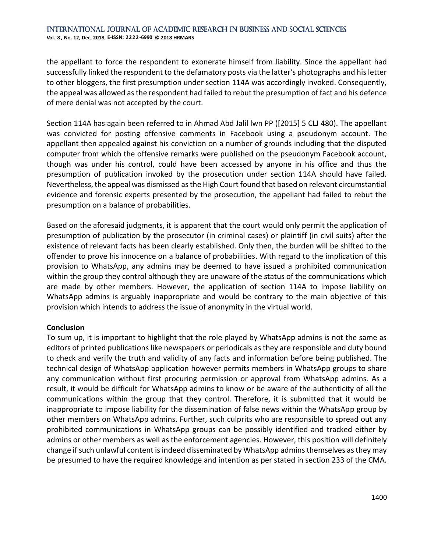the appellant to force the respondent to exonerate himself from liability. Since the appellant had successfully linked the respondent to the defamatory posts via the latter's photographs and his letter to other bloggers, the first presumption under section 114A was accordingly invoked. Consequently, the appeal was allowed as the respondent had failed to rebut the presumption of fact and his defence of mere denial was not accepted by the court.

Section 114A has again been referred to in Ahmad Abd Jalil lwn PP ([2015] 5 CLJ 480). The appellant was convicted for posting offensive comments in Facebook using a pseudonym account. The appellant then appealed against his conviction on a number of grounds including that the disputed computer from which the offensive remarks were published on the pseudonym Facebook account, though was under his control, could have been accessed by anyone in his office and thus the presumption of publication invoked by the prosecution under section 114A should have failed. Nevertheless, the appeal was dismissed as the High Court found that based on relevant circumstantial evidence and forensic experts presented by the prosecution, the appellant had failed to rebut the presumption on a balance of probabilities.

Based on the aforesaid judgments, it is apparent that the court would only permit the application of presumption of publication by the prosecutor (in criminal cases) or plaintiff (in civil suits) after the existence of relevant facts has been clearly established. Only then, the burden will be shifted to the offender to prove his innocence on a balance of probabilities. With regard to the implication of this provision to WhatsApp, any admins may be deemed to have issued a prohibited communication within the group they control although they are unaware of the status of the communications which are made by other members. However, the application of section 114A to impose liability on WhatsApp admins is arguably inappropriate and would be contrary to the main objective of this provision which intends to address the issue of anonymity in the virtual world.

### **Conclusion**

To sum up, it is important to highlight that the role played by WhatsApp admins is not the same as editors of printed publications like newspapers or periodicals as they are responsible and duty bound to check and verify the truth and validity of any facts and information before being published. The technical design of WhatsApp application however permits members in WhatsApp groups to share any communication without first procuring permission or approval from WhatsApp admins. As a result, it would be difficult for WhatsApp admins to know or be aware of the authenticity of all the communications within the group that they control. Therefore, it is submitted that it would be inappropriate to impose liability for the dissemination of false news within the WhatsApp group by other members on WhatsApp admins. Further, such culprits who are responsible to spread out any prohibited communications in WhatsApp groups can be possibly identified and tracked either by admins or other members as well as the enforcement agencies. However, this position will definitely change if such unlawful content is indeed disseminated by WhatsApp admins themselves as they may be presumed to have the required knowledge and intention as per stated in section 233 of the CMA.